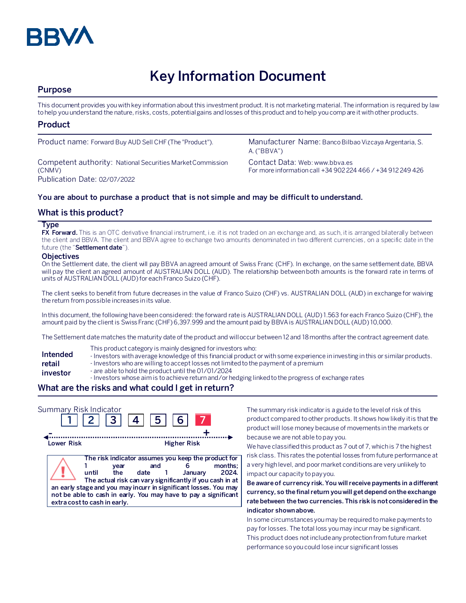

# **Key Information Document**

# **Purpose**

This document provides you with key information about this investment product. It is not marketing material. The information is required by law to help you understand the nature, risks, costs, potential gains and losses of this product and to help you compare it with other products.

# **Product**

Competent authority: National Securities Market Commission (CNMV) Publication Date: 02/07/2022

Product name: Forward Buy AUD Sell CHF (The "Product"). Manufacturer Name: Banco Bilbao Vizcaya Argentaria, S. A. ("BBVA")

> Contact Data: Web: www.bbva.es For more information call +34 902 224 466 / +34 912 249 426

## **You are about to purchase a product that is not simple and may be difficult to understand.**

# **What is this product?**

#### **Type**

**FX Forward.** This is an OTC derivative financial instrument, i.e. it is not traded on an exchange and, as such, it is arranged bilaterally between the client and BBVA. The client and BBVA agree to exchange two amounts denominated in two different currencies, on a specific date in the future (the "**Settlement date**").

#### **Objectives**

On the Settlement date, the client will pay BBVA an agreed amount of Swiss Franc (CHF). In exchange, on the same settlement date, BBVA will pay the client an agreed amount of AUSTRALIAN DOLL (AUD). The relationship between both amounts is the forward rate in terms of units of AUSTRALIAN DOLL (AUD) for each Franco Suizo (CHF).

The client seeks to benefit from future decreases in the value of Franco Suizo (CHF) vs. AUSTRALIAN DOLL (AUD) in exchange for waiving the return from possible increases in its value.

In this document, the following have been considered: the forward rate is AUSTRALIAN DOLL (AUD) 1.563 for each Franco Suizo (CHF), the amount paid by the client is Swiss Franc (CHF)6,397.999 and the amount paid by BBVA is AUSTRALIAN DOLL (AUD) 10,000.

The Settlement date matches the maturity date of the product and will occur between 12 and 18 months after the contract agreement date.

- This product category is mainly designed for investors who:
- **Intended**  - Investors with average knowledge of this financial product or with some experience in investing in this or similar products.
- **retail**  - Investors who are willing to accept losses not limited to the payment of a premium
- **investor** - are able to hold the product until the 01/01/2024
	- Investors whose aim is to achieve return and/or hedging linked to the progress of exchange rates

# **What are the risks and what could I get in return?**

| Summary Risk Indicator | $2 \mid 3 \mid 4 \mid$                                                                                                                                                                      | $ 5 $ 6                                                                                                                          |                    |                 |
|------------------------|---------------------------------------------------------------------------------------------------------------------------------------------------------------------------------------------|----------------------------------------------------------------------------------------------------------------------------------|--------------------|-----------------|
| Lower Risk             |                                                                                                                                                                                             |                                                                                                                                  | <b>Higher Risk</b> |                 |
|                        | year<br>until<br>the<br>an early stage and you may incurr in significant losses. You may<br>not be able to cash in early. You may have to pay a significant<br>extra cost to cash in early. | The risk indicator assumes you keep the product for<br>and<br>date 1<br>The actual risk can vary significantly if you cash in at | January            | months:<br>2024 |

The summary risk indicator is a guide to the level of risk of this product compared to other products. It shows how likely it is that the product will lose money because of movements in the markets or because we are not able to pay you.

We have classified this product as 7 out of 7, which is 7 the highest risk class. This rates the potential losses from future performance at a very high level, and poor market conditions are very unlikely to impact our capacity to pay you.

**Be aware of currency risk. You will receive payments in a different currency, so the final return you will get depend on the exchange rate between the two currencies. This risk is not considered in the indicator shown above.**

In some circumstances you may be required to make payments to pay for losses. The total loss you may incur may be significant. This product does not include any protection from future market performance so you could lose incur significant losses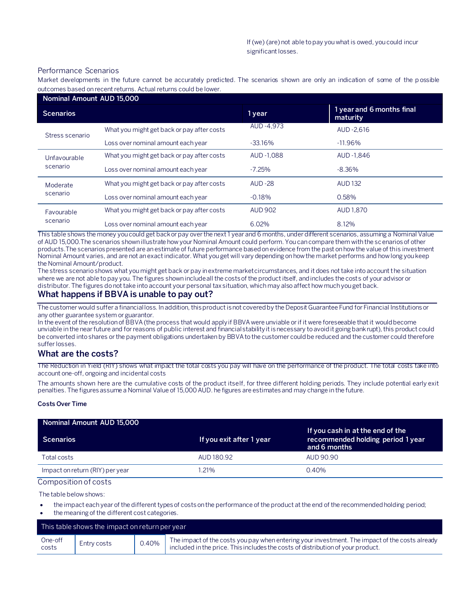#### Performance Scenarios

Market developments in the future cannot be accurately predicted. The scenarios shown are only an indication of some of the p ossible outcomes based on recent returns. Actual returns could be lower.

| Nominal Amount AUD 15,000 |                                            |                |                                       |
|---------------------------|--------------------------------------------|----------------|---------------------------------------|
| <b>Scenarios</b>          |                                            | 1 year         | 1 year and 6 months final<br>maturity |
| Stress scenario           | What you might get back or pay after costs | AUD-4.973      | AUD-2.616                             |
|                           | Loss over nominal amount each year         | $-33.16%$      | $-11.96\%$                            |
| Unfavourable<br>scenario  | What you might get back or pay after costs | AUD-1.088      | AUD -1.846                            |
|                           | Loss over nominal amount each year         | $-7.25%$       | $-8.36\%$                             |
| Moderate<br>scenario      | What you might get back or pay after costs | <b>AUD-28</b>  | <b>AUD 132</b>                        |
|                           | Loss over nominal amount each year         | $-0.18%$       | 0.58%                                 |
| Favourable<br>scenario    | What you might get back or pay after costs | <b>AUD 902</b> | AUD 1,870                             |
|                           | Loss over nominal amount each year         | 6.02%          | 8.12%                                 |

This table shows the money you could get back or pay over the next 1 year and 6 months, under different scenarios, assuming a Nominal Value of AUD 15,000.The scenarios shown illustrate how your Nominal Amount could perform. You can compare them with the scenarios of other products.The scenarios presented are an estimate of future performance based on evidence from the past on how the value of this investment Nominal Amount varies, and are not an exact indicator. What you get will vary depending on how the market performs and how long you keep the Nominal Amount/product.

The stress scenario shows what you might get back or pay in extreme market circumstances, and it does not take into account the situation where we are not able to pay you. The figures shown include all the costs of the product itself, and includes the costs of your advisor or distributor. The figures do not take into account your personal tax situation, which may also affect how much you get back.

## **What happens if BBVA is unable to pay out?**

The customer would suffer a financial loss. In addition, this product is not covered by the Deposit Guarantee Fund for Financial Institutions or any other guarantee system or guarantor.

In the event of the resolution of BBVA (the process that would apply if BBVA were unviable or if it were foreseeable that it would become unviable in the near future and for reasons of public interest and financial stability it is necessary to avoid it going bankrupt), this product could be converted into shares or the payment obligations undertaken by BBVA to the customer could be reduced and the customer could therefore suffer losses.

#### **What are the costs?**

The Reduction in Yield (RIY) shows what impact the total costs you pay will have on the performance of the product. The total costs take into account one-off, ongoing and incidental costs

The amounts shown here are the cumulative costs of the product itself, for three different holding periods. They include potential early exit penalties. The figures assume a Nominal Value of 15,000 AUD. he figures are estimates and may change in the future.

#### **Costs Over Time**

| Nominal Amount AUD 15,000       |                          |                                                                                       |
|---------------------------------|--------------------------|---------------------------------------------------------------------------------------|
| <b>Scenarios</b>                | If you exit after 1 year | If you cash in at the end of the<br>recommended holding period 1 year<br>and 6 months |
| Total costs                     | AUD 180.92               | AUD 90.90                                                                             |
| Impact on return (RIY) per year | 1.21%                    | $0.40\%$                                                                              |

Composition of costs

The table below shows:

- the impact each year of the different types of costs on the performance of the product at the end of the recommended holding period;
- the meaning of the different cost categories.

| This table shows the impact on return per year |             |       |                                                                                                                                                                                   |
|------------------------------------------------|-------------|-------|-----------------------------------------------------------------------------------------------------------------------------------------------------------------------------------|
| One-off<br>costs                               | Entry costs | 0.40% | The impact of the costs you pay when entering your investment. The impact of the costs already<br>included in the price. This includes the costs of distribution of your product. |